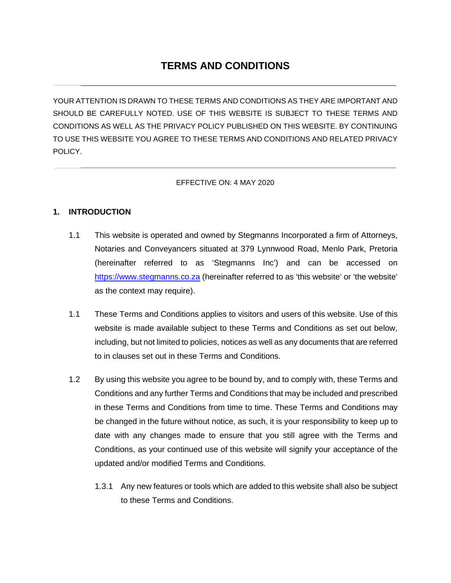# **TERMS AND CONDITIONS**

 $\mathcal{L}_\mathcal{L} = \{ \mathcal{L}_\mathcal{L} = \{ \mathcal{L}_\mathcal{L} = \{ \mathcal{L}_\mathcal{L} = \{ \mathcal{L}_\mathcal{L} = \{ \mathcal{L}_\mathcal{L} = \{ \mathcal{L}_\mathcal{L} = \{ \mathcal{L}_\mathcal{L} = \{ \mathcal{L}_\mathcal{L} = \{ \mathcal{L}_\mathcal{L} = \{ \mathcal{L}_\mathcal{L} = \{ \mathcal{L}_\mathcal{L} = \{ \mathcal{L}_\mathcal{L} = \{ \mathcal{L}_\mathcal{L} = \{ \mathcal{L}_\mathcal{$ 

YOUR ATTENTION IS DRAWN TO THESE TERMS AND CONDITIONS AS THEY ARE IMPORTANT AND SHOULD BE CAREFULLY NOTED. USE OF THIS WEBSITE IS SUBJECT TO THESE TERMS AND CONDITIONS AS WELL AS THE PRIVACY POLICY PUBLISHED ON THIS WEBSITE. BY CONTINUING TO USE THIS WEBSITE YOU AGREE TO THESE TERMS AND CONDITIONS AND RELATED PRIVACY POLICY.

#### EFFECTIVE ON: 4 MAY 2020

\_\_\_\_\_\_\_\_\_\_\_\_\_\_\_\_\_\_\_\_\_\_\_\_\_\_\_\_\_\_\_\_\_\_\_\_\_\_\_\_\_\_\_\_\_\_\_\_\_\_\_\_\_\_\_\_\_\_\_\_\_\_\_\_\_\_\_\_\_\_\_\_\_\_\_\_\_

## **1. INTRODUCTION**

- 1.1 This website is operated and owned by Stegmanns Incorporated a firm of Attorneys, Notaries and Conveyancers situated at 379 Lynnwood Road, Menlo Park, Pretoria (hereinafter referred to as 'Stegmanns Inc') and can be accessed on https://www.stegmanns.co.za (hereinafter referred to as 'this website' or 'the website' as the context may require).
- 1.1 These Terms and Conditions applies to visitors and users of this website. Use of this website is made available subject to these Terms and Conditions as set out below, including, but not limited to policies, notices as well as any documents that are referred to in clauses set out in these Terms and Conditions.
- 1.2 By using this website you agree to be bound by, and to comply with, these Terms and Conditions and any further Terms and Conditions that may be included and prescribed in these Terms and Conditions from time to time. These Terms and Conditions may be changed in the future without notice, as such, it is your responsibility to keep up to date with any changes made to ensure that you still agree with the Terms and Conditions, as your continued use of this website will signify your acceptance of the updated and/or modified Terms and Conditions.
	- 1.3.1 Any new features or tools which are added to this website shall also be subject to these Terms and Conditions.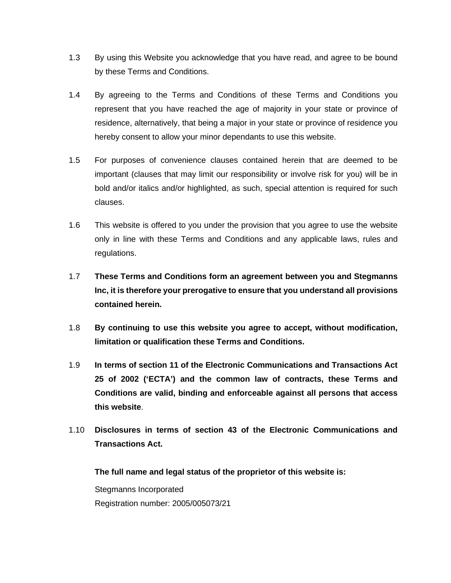- 1.3 By using this Website you acknowledge that you have read, and agree to be bound by these Terms and Conditions.
- 1.4 By agreeing to the Terms and Conditions of these Terms and Conditions you represent that you have reached the age of majority in your state or province of residence, alternatively, that being a major in your state or province of residence you hereby consent to allow your minor dependants to use this website.
- 1.5 For purposes of convenience clauses contained herein that are deemed to be important (clauses that may limit our responsibility or involve risk for you) will be in bold and/or italics and/or highlighted, as such, special attention is required for such clauses.
- 1.6 This website is offered to you under the provision that you agree to use the website only in line with these Terms and Conditions and any applicable laws, rules and regulations.
- 1.7 **These Terms and Conditions form an agreement between you and Stegmanns Inc, it is therefore your prerogative to ensure that you understand all provisions contained herein.**
- 1.8 **By continuing to use this website you agree to accept, without modification, limitation or qualification these Terms and Conditions.**
- 1.9 **In terms of section 11 of the Electronic Communications and Transactions Act 25 of 2002 ('ECTA') and the common law of contracts, these Terms and Conditions are valid, binding and enforceable against all persons that access this website**.
- 1.10 **Disclosures in terms of section 43 of the Electronic Communications and Transactions Act.**

**The full name and legal status of the proprietor of this website is:** 

Stegmanns Incorporated Registration number: 2005/005073/21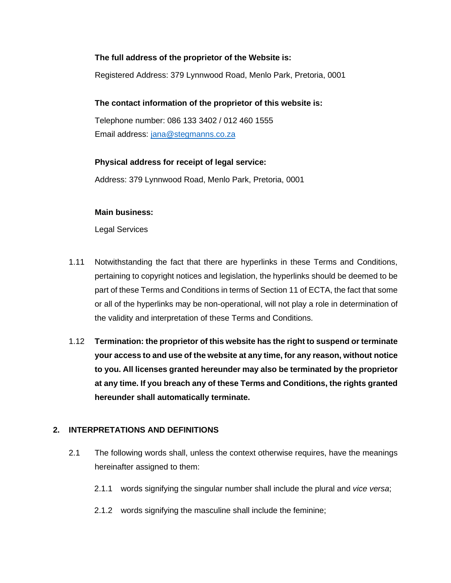## **The full address of the proprietor of the Website is:**

Registered Address: 379 Lynnwood Road, Menlo Park, Pretoria, 0001

## **The contact information of the proprietor of this website is:**

Telephone number: 086 133 3402 / 012 460 1555 Email address: [jana@stegmanns.co.za](mailto:jana@stegmanns.co.za)

## **Physical address for receipt of legal service:**

Address: 379 Lynnwood Road, Menlo Park, Pretoria, 0001

## **Main business:**

Legal Services

- 1.11 Notwithstanding the fact that there are hyperlinks in these Terms and Conditions, pertaining to copyright notices and legislation, the hyperlinks should be deemed to be part of these Terms and Conditions in terms of Section 11 of ECTA, the fact that some or all of the hyperlinks may be non-operational, will not play a role in determination of the validity and interpretation of these Terms and Conditions.
- 1.12 **Termination: the proprietor of this website has the right to suspend or terminate your access to and use of the website at any time, for any reason, without notice to you. All licenses granted hereunder may also be terminated by the proprietor at any time. If you breach any of these Terms and Conditions, the rights granted hereunder shall automatically terminate.**

## **2. INTERPRETATIONS AND DEFINITIONS**

- 2.1 The following words shall, unless the context otherwise requires, have the meanings hereinafter assigned to them:
	- 2.1.1 words signifying the singular number shall include the plural and *vice versa*;
	- 2.1.2 words signifying the masculine shall include the feminine;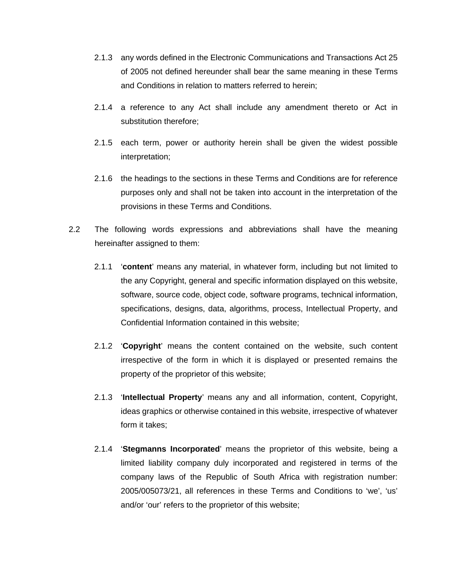- 2.1.3 any words defined in the Electronic Communications and Transactions Act 25 of 2005 not defined hereunder shall bear the same meaning in these Terms and Conditions in relation to matters referred to herein;
- 2.1.4 a reference to any Act shall include any amendment thereto or Act in substitution therefore;
- 2.1.5 each term, power or authority herein shall be given the widest possible interpretation;
- 2.1.6 the headings to the sections in these Terms and Conditions are for reference purposes only and shall not be taken into account in the interpretation of the provisions in these Terms and Conditions.
- 2.2 The following words expressions and abbreviations shall have the meaning hereinafter assigned to them:
	- 2.1.1 '**content**' means any material, in whatever form, including but not limited to the any Copyright, general and specific information displayed on this website, software, source code, object code, software programs, technical information, specifications, designs, data, algorithms, process, Intellectual Property, and Confidential Information contained in this website;
	- 2.1.2 '**Copyright**' means the content contained on the website, such content irrespective of the form in which it is displayed or presented remains the property of the proprietor of this website;
	- 2.1.3 '**Intellectual Property**' means any and all information, content, Copyright, ideas graphics or otherwise contained in this website, irrespective of whatever form it takes;
	- 2.1.4 '**Stegmanns Incorporated**' means the proprietor of this website, being a limited liability company duly incorporated and registered in terms of the company laws of the Republic of South Africa with registration number: 2005/005073/21, all references in these Terms and Conditions to 'we', 'us' and/or 'our' refers to the proprietor of this website;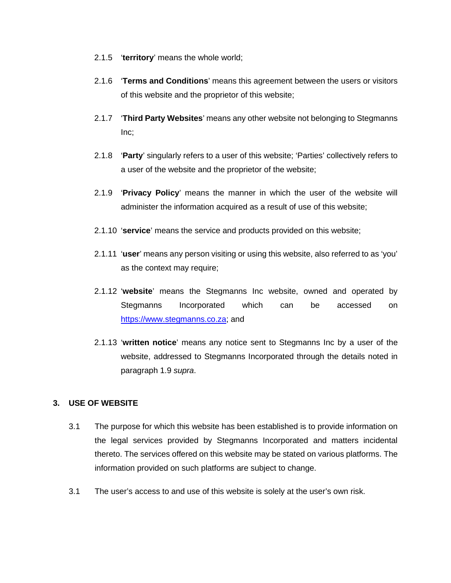- 2.1.5 '**territory**' means the whole world;
- 2.1.6 '**Terms and Conditions**' means this agreement between the users or visitors of this website and the proprietor of this website;
- 2.1.7 '**Third Party Websites**' means any other website not belonging to Stegmanns Inc;
- 2.1.8 '**Party**' singularly refers to a user of this website; 'Parties' collectively refers to a user of the website and the proprietor of the website;
- 2.1.9 '**Privacy Policy**' means the manner in which the user of the website will administer the information acquired as a result of use of this website;
- 2.1.10 '**service**' means the service and products provided on this website;
- 2.1.11 '**user**' means any person visiting or using this website, also referred to as 'you' as the context may require;
- 2.1.12 '**website**' means the Stegmanns Inc website, owned and operated by Stegmanns Incorporated which can be accessed on https://www.stegmanns.co.za; and
- 2.1.13 '**written notice**' means any notice sent to Stegmanns Inc by a user of the website, addressed to Stegmanns Incorporated through the details noted in paragraph 1.9 *supra*.

## **3. USE OF WEBSITE**

- 3.1 The purpose for which this website has been established is to provide information on the legal services provided by Stegmanns Incorporated and matters incidental thereto. The services offered on this website may be stated on various platforms. The information provided on such platforms are subject to change.
- 3.1 The user's access to and use of this website is solely at the user's own risk.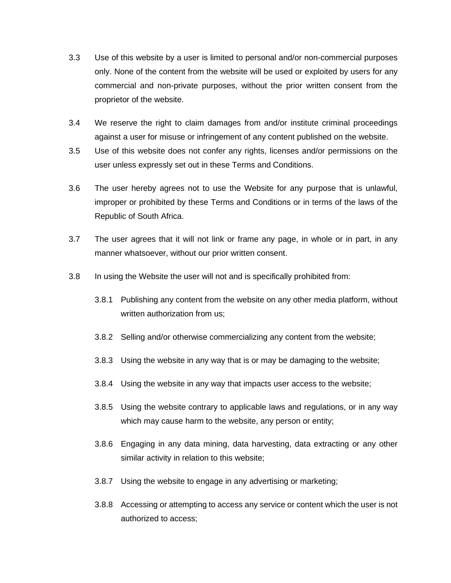- 3.3 Use of this website by a user is limited to personal and/or non-commercial purposes only. None of the content from the website will be used or exploited by users for any commercial and non-private purposes, without the prior written consent from the proprietor of the website.
- 3.4 We reserve the right to claim damages from and/or institute criminal proceedings against a user for misuse or infringement of any content published on the website.
- 3.5 Use of this website does not confer any rights, licenses and/or permissions on the user unless expressly set out in these Terms and Conditions.
- 3.6 The user hereby agrees not to use the Website for any purpose that is unlawful, improper or prohibited by these Terms and Conditions or in terms of the laws of the Republic of South Africa.
- 3.7 The user agrees that it will not link or frame any page, in whole or in part, in any manner whatsoever, without our prior written consent.
- 3.8 In using the Website the user will not and is specifically prohibited from:
	- 3.8.1 Publishing any content from the website on any other media platform, without written authorization from us:
	- 3.8.2 Selling and/or otherwise commercializing any content from the website;
	- 3.8.3 Using the website in any way that is or may be damaging to the website;
	- 3.8.4 Using the website in any way that impacts user access to the website;
	- 3.8.5 Using the website contrary to applicable laws and regulations, or in any way which may cause harm to the website, any person or entity;
	- 3.8.6 Engaging in any data mining, data harvesting, data extracting or any other similar activity in relation to this website;
	- 3.8.7 Using the website to engage in any advertising or marketing;
	- 3.8.8 Accessing or attempting to access any service or content which the user is not authorized to access;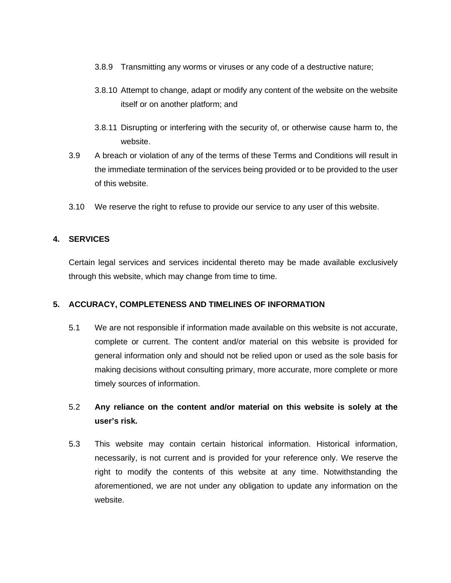- 3.8.9 Transmitting any worms or viruses or any code of a destructive nature;
- 3.8.10 Attempt to change, adapt or modify any content of the website on the website itself or on another platform; and
- 3.8.11 Disrupting or interfering with the security of, or otherwise cause harm to, the website.
- 3.9 A breach or violation of any of the terms of these Terms and Conditions will result in the immediate termination of the services being provided or to be provided to the user of this website.
- 3.10 We reserve the right to refuse to provide our service to any user of this website.

## **4. SERVICES**

Certain legal services and services incidental thereto may be made available exclusively through this website, which may change from time to time.

## **5. ACCURACY, COMPLETENESS AND TIMELINES OF INFORMATION**

5.1 We are not responsible if information made available on this website is not accurate, complete or current. The content and/or material on this website is provided for general information only and should not be relied upon or used as the sole basis for making decisions without consulting primary, more accurate, more complete or more timely sources of information.

## 5.2 **Any reliance on the content and/or material on this website is solely at the user's risk.**

5.3 This website may contain certain historical information. Historical information, necessarily, is not current and is provided for your reference only. We reserve the right to modify the contents of this website at any time. Notwithstanding the aforementioned, we are not under any obligation to update any information on the website.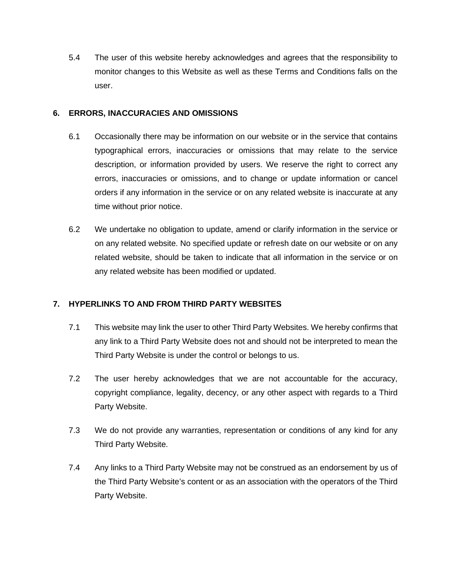5.4 The user of this website hereby acknowledges and agrees that the responsibility to monitor changes to this Website as well as these Terms and Conditions falls on the user.

## **6. ERRORS, INACCURACIES AND OMISSIONS**

- 6.1 Occasionally there may be information on our website or in the service that contains typographical errors, inaccuracies or omissions that may relate to the service description, or information provided by users. We reserve the right to correct any errors, inaccuracies or omissions, and to change or update information or cancel orders if any information in the service or on any related website is inaccurate at any time without prior notice.
- 6.2 We undertake no obligation to update, amend or clarify information in the service or on any related website. No specified update or refresh date on our website or on any related website, should be taken to indicate that all information in the service or on any related website has been modified or updated.

## **7. HYPERLINKS TO AND FROM THIRD PARTY WEBSITES**

- 7.1 This website may link the user to other Third Party Websites. We hereby confirms that any link to a Third Party Website does not and should not be interpreted to mean the Third Party Website is under the control or belongs to us.
- 7.2 The user hereby acknowledges that we are not accountable for the accuracy, copyright compliance, legality, decency, or any other aspect with regards to a Third Party Website.
- 7.3 We do not provide any warranties, representation or conditions of any kind for any Third Party Website.
- 7.4 Any links to a Third Party Website may not be construed as an endorsement by us of the Third Party Website's content or as an association with the operators of the Third Party Website.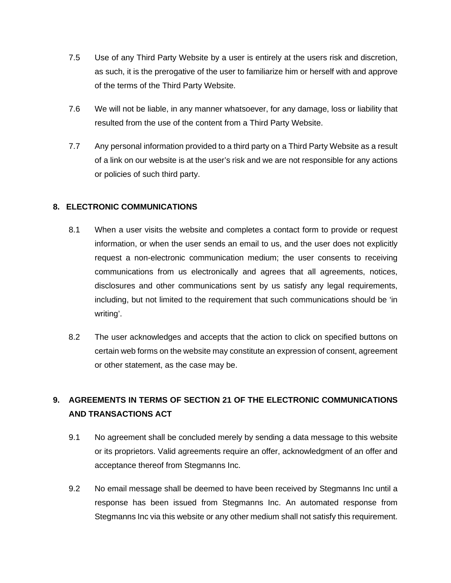- 7.5 Use of any Third Party Website by a user is entirely at the users risk and discretion, as such, it is the prerogative of the user to familiarize him or herself with and approve of the terms of the Third Party Website.
- 7.6 We will not be liable, in any manner whatsoever, for any damage, loss or liability that resulted from the use of the content from a Third Party Website.
- 7.7 Any personal information provided to a third party on a Third Party Website as a result of a link on our website is at the user's risk and we are not responsible for any actions or policies of such third party.

## **8. ELECTRONIC COMMUNICATIONS**

- 8.1 When a user visits the website and completes a contact form to provide or request information, or when the user sends an email to us, and the user does not explicitly request a non-electronic communication medium; the user consents to receiving communications from us electronically and agrees that all agreements, notices, disclosures and other communications sent by us satisfy any legal requirements, including, but not limited to the requirement that such communications should be 'in writing'.
- 8.2 The user acknowledges and accepts that the action to click on specified buttons on certain web forms on the website may constitute an expression of consent, agreement or other statement, as the case may be.

## **9. AGREEMENTS IN TERMS OF SECTION 21 OF THE ELECTRONIC COMMUNICATIONS AND TRANSACTIONS ACT**

- 9.1 No agreement shall be concluded merely by sending a data message to this website or its proprietors. Valid agreements require an offer, acknowledgment of an offer and acceptance thereof from Stegmanns Inc.
- 9.2 No email message shall be deemed to have been received by Stegmanns Inc until a response has been issued from Stegmanns Inc. An automated response from Stegmanns Inc via this website or any other medium shall not satisfy this requirement.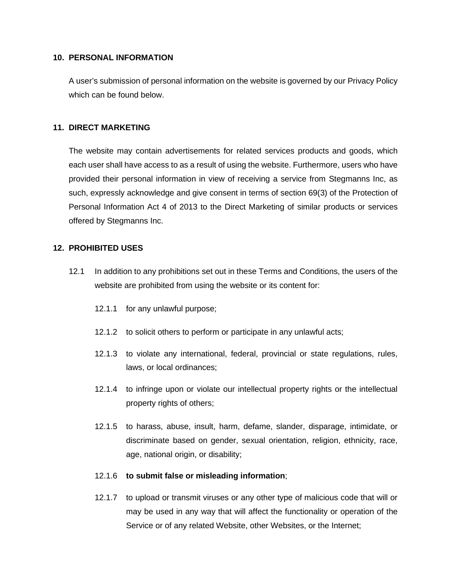#### **10. PERSONAL INFORMATION**

A user's submission of personal information on the website is governed by our Privacy Policy which can be found below.

## **11. DIRECT MARKETING**

The website may contain advertisements for related services products and goods, which each user shall have access to as a result of using the website. Furthermore, users who have provided their personal information in view of receiving a service from Stegmanns Inc, as such, expressly acknowledge and give consent in terms of section 69(3) of the Protection of Personal Information Act 4 of 2013 to the Direct Marketing of similar products or services offered by Stegmanns Inc.

## **12. PROHIBITED USES**

- 12.1 In addition to any prohibitions set out in these Terms and Conditions, the users of the website are prohibited from using the website or its content for:
	- 12.1.1 for any unlawful purpose;
	- 12.1.2 to solicit others to perform or participate in any unlawful acts;
	- 12.1.3 to violate any international, federal, provincial or state regulations, rules, laws, or local ordinances;
	- 12.1.4 to infringe upon or violate our intellectual property rights or the intellectual property rights of others;
	- 12.1.5 to harass, abuse, insult, harm, defame, slander, disparage, intimidate, or discriminate based on gender, sexual orientation, religion, ethnicity, race, age, national origin, or disability;

#### 12.1.6 **to submit false or misleading information**;

12.1.7 to upload or transmit viruses or any other type of malicious code that will or may be used in any way that will affect the functionality or operation of the Service or of any related Website, other Websites, or the Internet;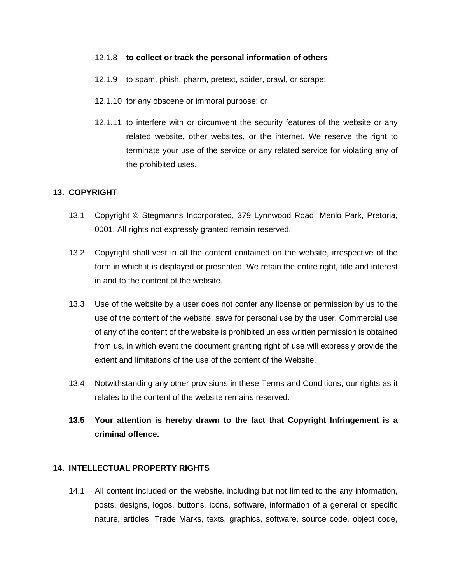#### 12.1.8 **to collect or track the personal information of others**;

- 12.1.9 to spam, phish, pharm, pretext, spider, crawl, or scrape;
- 12.1.10 for any obscene or immoral purpose; or
- 12.1.11 to interfere with or circumvent the security features of the website or any related website, other websites, or the internet. We reserve the right to terminate your use of the service or any related service for violating any of the prohibited uses.

## **13. COPYRIGHT**

- 13.1 Copyright © Stegmanns Incorporated, 379 Lynnwood Road, Menlo Park, Pretoria, 0001. All rights not expressly granted remain reserved.
- 13.2 Copyright shall vest in all the content contained on the website, irrespective of the form in which it is displayed or presented. We retain the entire right, title and interest in and to the content of the website.
- 13.3 Use of the website by a user does not confer any license or permission by us to the use of the content of the website, save for personal use by the user. Commercial use of any of the content of the website is prohibited unless written permission is obtained from us, in which event the document granting right of use will expressly provide the extent and limitations of the use of the content of the Website.
- 13.4 Notwithstanding any other provisions in these Terms and Conditions, our rights as it relates to the content of the website remains reserved.

## **13.5 Your attention is hereby drawn to the fact that Copyright Infringement is a criminal offence.**

## **14. INTELLECTUAL PROPERTY RIGHTS**

14.1 All content included on the website, including but not limited to the any information, posts, designs, logos, buttons, icons, software, information of a general or specific nature, articles, Trade Marks, texts, graphics, software, source code, object code,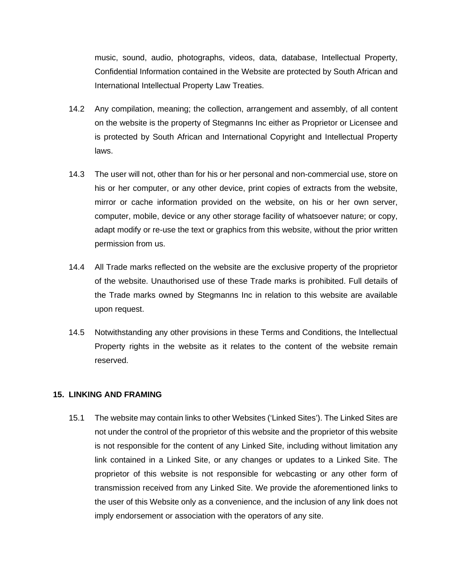music, sound, audio, photographs, videos, data, database, Intellectual Property, Confidential Information contained in the Website are protected by South African and International Intellectual Property Law Treaties.

- 14.2 Any compilation, meaning; the collection, arrangement and assembly, of all content on the website is the property of Stegmanns Inc either as Proprietor or Licensee and is protected by South African and International Copyright and Intellectual Property laws.
- 14.3 The user will not, other than for his or her personal and non-commercial use, store on his or her computer, or any other device, print copies of extracts from the website, mirror or cache information provided on the website, on his or her own server, computer, mobile, device or any other storage facility of whatsoever nature; or copy, adapt modify or re-use the text or graphics from this website, without the prior written permission from us.
- 14.4 All Trade marks reflected on the website are the exclusive property of the proprietor of the website. Unauthorised use of these Trade marks is prohibited. Full details of the Trade marks owned by Stegmanns Inc in relation to this website are available upon request.
- 14.5 Notwithstanding any other provisions in these Terms and Conditions, the Intellectual Property rights in the website as it relates to the content of the website remain reserved.

## **15. LINKING AND FRAMING**

15.1 The website may contain links to other Websites ('Linked Sites'). The Linked Sites are not under the control of the proprietor of this website and the proprietor of this website is not responsible for the content of any Linked Site, including without limitation any link contained in a Linked Site, or any changes or updates to a Linked Site. The proprietor of this website is not responsible for webcasting or any other form of transmission received from any Linked Site. We provide the aforementioned links to the user of this Website only as a convenience, and the inclusion of any link does not imply endorsement or association with the operators of any site.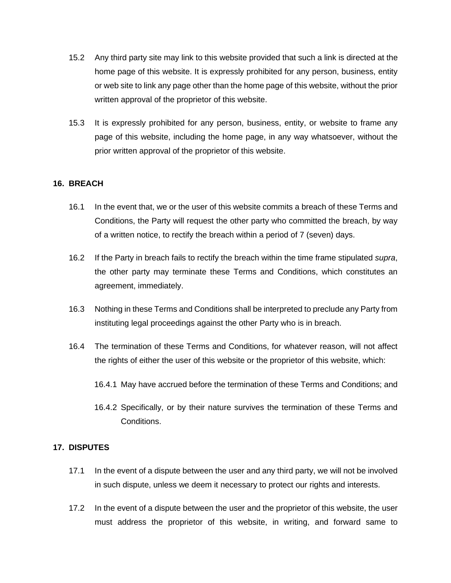- 15.2 Any third party site may link to this website provided that such a link is directed at the home page of this website. It is expressly prohibited for any person, business, entity or web site to link any page other than the home page of this website, without the prior written approval of the proprietor of this website.
- 15.3 It is expressly prohibited for any person, business, entity, or website to frame any page of this website, including the home page, in any way whatsoever, without the prior written approval of the proprietor of this website.

## **16. BREACH**

- 16.1 In the event that, we or the user of this website commits a breach of these Terms and Conditions, the Party will request the other party who committed the breach, by way of a written notice, to rectify the breach within a period of 7 (seven) days.
- 16.2 If the Party in breach fails to rectify the breach within the time frame stipulated *supra*, the other party may terminate these Terms and Conditions, which constitutes an agreement, immediately.
- 16.3 Nothing in these Terms and Conditions shall be interpreted to preclude any Party from instituting legal proceedings against the other Party who is in breach.
- 16.4 The termination of these Terms and Conditions, for whatever reason, will not affect the rights of either the user of this website or the proprietor of this website, which:
	- 16.4.1 May have accrued before the termination of these Terms and Conditions; and
	- 16.4.2 Specifically, or by their nature survives the termination of these Terms and Conditions.

## **17. DISPUTES**

- 17.1 In the event of a dispute between the user and any third party, we will not be involved in such dispute, unless we deem it necessary to protect our rights and interests.
- 17.2 In the event of a dispute between the user and the proprietor of this website, the user must address the proprietor of this website, in writing, and forward same to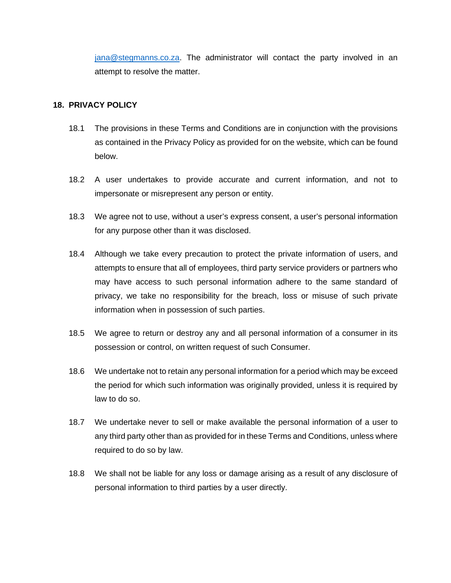[jana@stegmanns.co.za.](mailto:jana@stegmanns.co.za) The administrator will contact the party involved in an attempt to resolve the matter.

## **18. PRIVACY POLICY**

- 18.1 The provisions in these Terms and Conditions are in conjunction with the provisions as contained in the Privacy Policy as provided for on the website, which can be found below.
- 18.2 A user undertakes to provide accurate and current information, and not to impersonate or misrepresent any person or entity.
- 18.3 We agree not to use, without a user's express consent, a user's personal information for any purpose other than it was disclosed.
- 18.4 Although we take every precaution to protect the private information of users, and attempts to ensure that all of employees, third party service providers or partners who may have access to such personal information adhere to the same standard of privacy, we take no responsibility for the breach, loss or misuse of such private information when in possession of such parties.
- 18.5 We agree to return or destroy any and all personal information of a consumer in its possession or control, on written request of such Consumer.
- 18.6 We undertake not to retain any personal information for a period which may be exceed the period for which such information was originally provided, unless it is required by law to do so.
- 18.7 We undertake never to sell or make available the personal information of a user to any third party other than as provided for in these Terms and Conditions, unless where required to do so by law.
- 18.8 We shall not be liable for any loss or damage arising as a result of any disclosure of personal information to third parties by a user directly.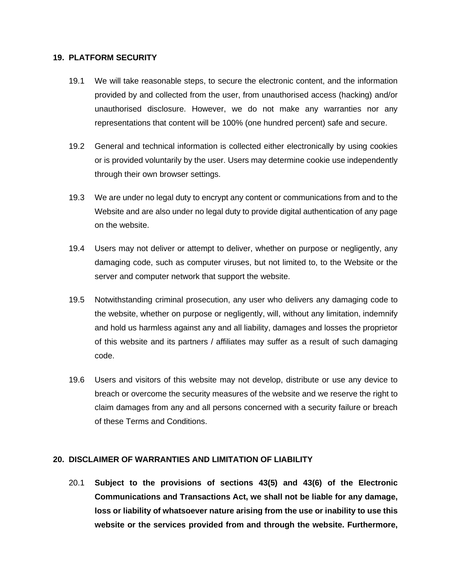#### **19. PLATFORM SECURITY**

- 19.1 We will take reasonable steps, to secure the electronic content, and the information provided by and collected from the user, from unauthorised access (hacking) and/or unauthorised disclosure. However, we do not make any warranties nor any representations that content will be 100% (one hundred percent) safe and secure.
- 19.2 General and technical information is collected either electronically by using cookies or is provided voluntarily by the user. Users may determine cookie use independently through their own browser settings.
- 19.3 We are under no legal duty to encrypt any content or communications from and to the Website and are also under no legal duty to provide digital authentication of any page on the website.
- 19.4 Users may not deliver or attempt to deliver, whether on purpose or negligently, any damaging code, such as computer viruses, but not limited to, to the Website or the server and computer network that support the website.
- 19.5 Notwithstanding criminal prosecution, any user who delivers any damaging code to the website, whether on purpose or negligently, will, without any limitation, indemnify and hold us harmless against any and all liability, damages and losses the proprietor of this website and its partners / affiliates may suffer as a result of such damaging code.
- 19.6 Users and visitors of this website may not develop, distribute or use any device to breach or overcome the security measures of the website and we reserve the right to claim damages from any and all persons concerned with a security failure or breach of these Terms and Conditions.

## **20. DISCLAIMER OF WARRANTIES AND LIMITATION OF LIABILITY**

20.1 **Subject to the provisions of sections 43(5) and 43(6) of the Electronic Communications and Transactions Act, we shall not be liable for any damage, loss or liability of whatsoever nature arising from the use or inability to use this website or the services provided from and through the website. Furthermore,**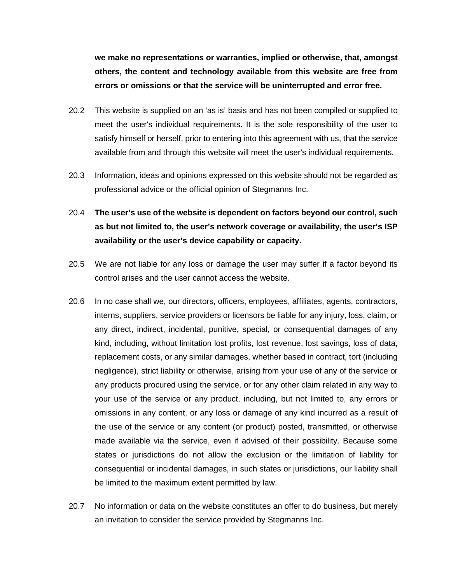**we make no representations or warranties, implied or otherwise, that, amongst others, the content and technology available from this website are free from errors or omissions or that the service will be uninterrupted and error free.**

- 20.2 This website is supplied on an 'as is' basis and has not been compiled or supplied to meet the user's individual requirements. It is the sole responsibility of the user to satisfy himself or herself, prior to entering into this agreement with us, that the service available from and through this website will meet the user's individual requirements.
- 20.3 Information, ideas and opinions expressed on this website should not be regarded as professional advice or the official opinion of Stegmanns Inc.
- 20.4 **The user's use of the website is dependent on factors beyond our control, such as but not limited to, the user's network coverage or availability, the user's ISP availability or the user's device capability or capacity.**
- 20.5 We are not liable for any loss or damage the user may suffer if a factor beyond its control arises and the user cannot access the website.
- 20.6 In no case shall we, our directors, officers, employees, affiliates, agents, contractors, interns, suppliers, service providers or licensors be liable for any injury, loss, claim, or any direct, indirect, incidental, punitive, special, or consequential damages of any kind, including, without limitation lost profits, lost revenue, lost savings, loss of data, replacement costs, or any similar damages, whether based in contract, tort (including negligence), strict liability or otherwise, arising from your use of any of the service or any products procured using the service, or for any other claim related in any way to your use of the service or any product, including, but not limited to, any errors or omissions in any content, or any loss or damage of any kind incurred as a result of the use of the service or any content (or product) posted, transmitted, or otherwise made available via the service, even if advised of their possibility. Because some states or jurisdictions do not allow the exclusion or the limitation of liability for consequential or incidental damages, in such states or jurisdictions, our liability shall be limited to the maximum extent permitted by law.
- 20.7 No information or data on the website constitutes an offer to do business, but merely an invitation to consider the service provided by Stegmanns Inc.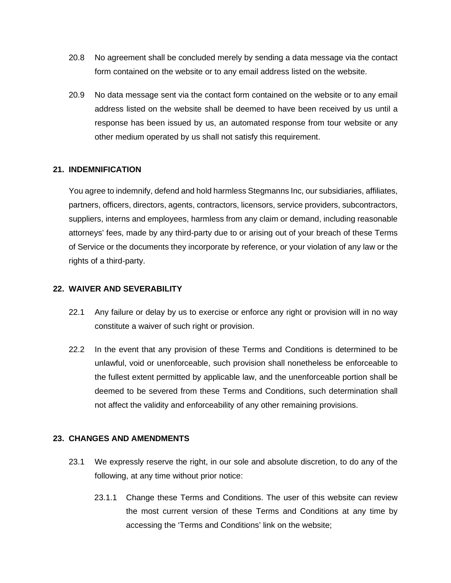- 20.8 No agreement shall be concluded merely by sending a data message via the contact form contained on the website or to any email address listed on the website.
- 20.9 No data message sent via the contact form contained on the website or to any email address listed on the website shall be deemed to have been received by us until a response has been issued by us, an automated response from tour website or any other medium operated by us shall not satisfy this requirement.

## **21. INDEMNIFICATION**

You agree to indemnify, defend and hold harmless Stegmanns Inc, our subsidiaries, affiliates, partners, officers, directors, agents, contractors, licensors, service providers, subcontractors, suppliers, interns and employees, harmless from any claim or demand, including reasonable attorneys' fees, made by any third-party due to or arising out of your breach of these Terms of Service or the documents they incorporate by reference, or your violation of any law or the rights of a third-party.

## **22. WAIVER AND SEVERABILITY**

- 22.1 Any failure or delay by us to exercise or enforce any right or provision will in no way constitute a waiver of such right or provision.
- 22.2 In the event that any provision of these Terms and Conditions is determined to be unlawful, void or unenforceable, such provision shall nonetheless be enforceable to the fullest extent permitted by applicable law, and the unenforceable portion shall be deemed to be severed from these Terms and Conditions, such determination shall not affect the validity and enforceability of any other remaining provisions.

## **23. CHANGES AND AMENDMENTS**

- 23.1 We expressly reserve the right, in our sole and absolute discretion, to do any of the following, at any time without prior notice:
	- 23.1.1 Change these Terms and Conditions. The user of this website can review the most current version of these Terms and Conditions at any time by accessing the 'Terms and Conditions' link on the website;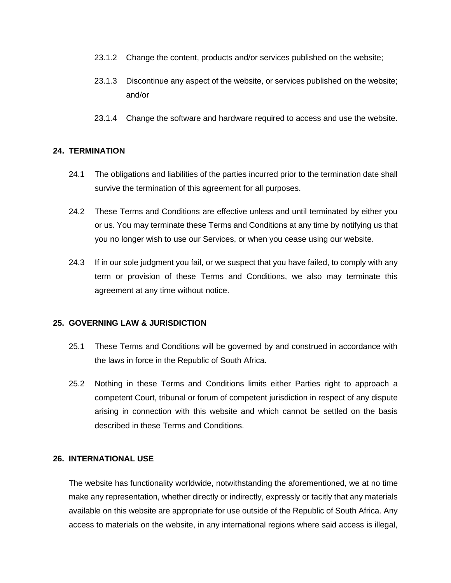- 23.1.2 Change the content, products and/or services published on the website;
- 23.1.3 Discontinue any aspect of the website, or services published on the website; and/or
- 23.1.4 Change the software and hardware required to access and use the website.

## **24. TERMINATION**

- 24.1 The obligations and liabilities of the parties incurred prior to the termination date shall survive the termination of this agreement for all purposes.
- 24.2 These Terms and Conditions are effective unless and until terminated by either you or us. You may terminate these Terms and Conditions at any time by notifying us that you no longer wish to use our Services, or when you cease using our website.
- 24.3 If in our sole judgment you fail, or we suspect that you have failed, to comply with any term or provision of these Terms and Conditions, we also may terminate this agreement at any time without notice.

## **25. GOVERNING LAW & JURISDICTION**

- 25.1 These Terms and Conditions will be governed by and construed in accordance with the laws in force in the Republic of South Africa.
- 25.2 Nothing in these Terms and Conditions limits either Parties right to approach a competent Court, tribunal or forum of competent jurisdiction in respect of any dispute arising in connection with this website and which cannot be settled on the basis described in these Terms and Conditions.

## **26. INTERNATIONAL USE**

The website has functionality worldwide, notwithstanding the aforementioned, we at no time make any representation, whether directly or indirectly, expressly or tacitly that any materials available on this website are appropriate for use outside of the Republic of South Africa. Any access to materials on the website, in any international regions where said access is illegal,